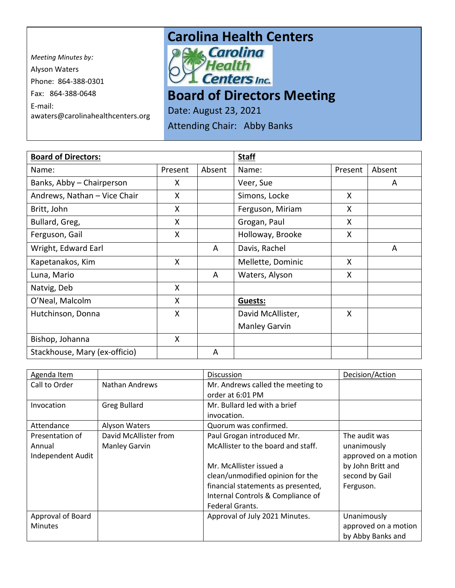*Meeting Minutes by:*  Alyson Waters Phone: 864-388-0301 Fax: 864-388-0648 E-mail: awaters@carolinahealthcenters.org

## **Carolina Health Centers**<br> **Pak, Carolina**



**Board of Directors Meeting** 

Date: August 23, 2021

Attending Chair: Abby Banks

| <b>Board of Directors:</b>    |         |        | <b>Staff</b>         |         |        |
|-------------------------------|---------|--------|----------------------|---------|--------|
| Name:                         | Present | Absent | Name:                | Present | Absent |
| Banks, Abby - Chairperson     | X       |        | Veer, Sue            |         | A      |
| Andrews, Nathan - Vice Chair  | X       |        | Simons, Locke        | X       |        |
| Britt, John                   | X       |        | Ferguson, Miriam     | X       |        |
| Bullard, Greg,                | X       |        | Grogan, Paul         | X       |        |
| Ferguson, Gail                | X       |        | Holloway, Brooke     | X       |        |
| Wright, Edward Earl           |         | A      | Davis, Rachel        |         | A      |
| Kapetanakos, Kim              | X       |        | Mellette, Dominic    | X       |        |
| Luna, Mario                   |         | A      | Waters, Alyson       | X       |        |
| Natvig, Deb                   | X       |        |                      |         |        |
| O'Neal, Malcolm               | X       |        | Guests:              |         |        |
| Hutchinson, Donna             | X       |        | David McAllister,    | X       |        |
|                               |         |        | <b>Manley Garvin</b> |         |        |
| Bishop, Johanna               | X       |        |                      |         |        |
| Stackhouse, Mary (ex-officio) |         | A      |                      |         |        |

| Agenda Item       |                       | <b>Discussion</b>                  | Decision/Action      |
|-------------------|-----------------------|------------------------------------|----------------------|
| Call to Order     | <b>Nathan Andrews</b> | Mr. Andrews called the meeting to  |                      |
|                   |                       | order at 6:01 PM                   |                      |
| Invocation        | <b>Greg Bullard</b>   | Mr. Bullard led with a brief       |                      |
|                   |                       | invocation.                        |                      |
| Attendance        | Alyson Waters         | Quorum was confirmed.              |                      |
| Presentation of   | David McAllister from | Paul Grogan introduced Mr.         | The audit was        |
| Annual            | <b>Manley Garvin</b>  | McAllister to the board and staff. | unanimously          |
| Independent Audit |                       |                                    | approved on a motion |
|                   |                       | Mr. McAllister issued a            | by John Britt and    |
|                   |                       | clean/unmodified opinion for the   | second by Gail       |
|                   |                       | financial statements as presented, | Ferguson.            |
|                   |                       | Internal Controls & Compliance of  |                      |
|                   |                       | Federal Grants.                    |                      |
| Approval of Board |                       | Approval of July 2021 Minutes.     | Unanimously          |
| Minutes           |                       |                                    | approved on a motion |
|                   |                       |                                    | by Abby Banks and    |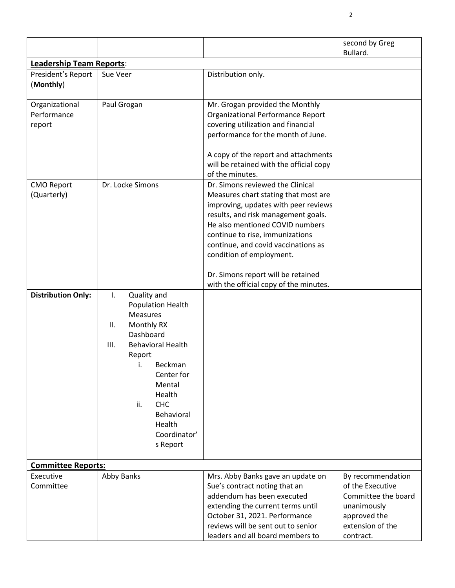|                                         |                                                                                                                                                                                                                                                                              |                                                                                                                                                                                                                                                                                                                                                                                  | second by Greg      |  |
|-----------------------------------------|------------------------------------------------------------------------------------------------------------------------------------------------------------------------------------------------------------------------------------------------------------------------------|----------------------------------------------------------------------------------------------------------------------------------------------------------------------------------------------------------------------------------------------------------------------------------------------------------------------------------------------------------------------------------|---------------------|--|
|                                         |                                                                                                                                                                                                                                                                              |                                                                                                                                                                                                                                                                                                                                                                                  | Bullard.            |  |
| <b>Leadership Team Reports:</b>         |                                                                                                                                                                                                                                                                              |                                                                                                                                                                                                                                                                                                                                                                                  |                     |  |
| President's Report<br>(Monthly)         | Sue Veer                                                                                                                                                                                                                                                                     | Distribution only.                                                                                                                                                                                                                                                                                                                                                               |                     |  |
| Organizational<br>Performance<br>report | Paul Grogan                                                                                                                                                                                                                                                                  | Mr. Grogan provided the Monthly<br>Organizational Performance Report<br>covering utilization and financial<br>performance for the month of June.<br>A copy of the report and attachments<br>will be retained with the official copy<br>of the minutes.                                                                                                                           |                     |  |
| <b>CMO Report</b><br>(Quarterly)        | Dr. Locke Simons                                                                                                                                                                                                                                                             | Dr. Simons reviewed the Clinical<br>Measures chart stating that most are<br>improving, updates with peer reviews<br>results, and risk management goals.<br>He also mentioned COVID numbers<br>continue to rise, immunizations<br>continue, and covid vaccinations as<br>condition of employment.<br>Dr. Simons report will be retained<br>with the official copy of the minutes. |                     |  |
| <b>Distribution Only:</b>               | Quality and<br>I.<br><b>Population Health</b><br><b>Measures</b><br>Monthly RX<br>ΙΙ.<br>Dashboard<br><b>Behavioral Health</b><br>III.<br>Report<br>i.<br>Beckman<br>Center for<br>Mental<br>Health<br>ii.<br><b>CHC</b><br>Behavioral<br>Health<br>Coordinator'<br>s Report |                                                                                                                                                                                                                                                                                                                                                                                  |                     |  |
| <b>Committee Reports:</b>               |                                                                                                                                                                                                                                                                              |                                                                                                                                                                                                                                                                                                                                                                                  |                     |  |
| Executive                               | Abby Banks                                                                                                                                                                                                                                                                   | Mrs. Abby Banks gave an update on                                                                                                                                                                                                                                                                                                                                                | By recommendation   |  |
| Committee                               |                                                                                                                                                                                                                                                                              | Sue's contract noting that an                                                                                                                                                                                                                                                                                                                                                    | of the Executive    |  |
|                                         |                                                                                                                                                                                                                                                                              | addendum has been executed                                                                                                                                                                                                                                                                                                                                                       | Committee the board |  |
|                                         |                                                                                                                                                                                                                                                                              | extending the current terms until                                                                                                                                                                                                                                                                                                                                                | unanimously         |  |
|                                         |                                                                                                                                                                                                                                                                              | October 31, 2021. Performance                                                                                                                                                                                                                                                                                                                                                    | approved the        |  |
|                                         |                                                                                                                                                                                                                                                                              | reviews will be sent out to senior                                                                                                                                                                                                                                                                                                                                               | extension of the    |  |
|                                         |                                                                                                                                                                                                                                                                              | leaders and all board members to                                                                                                                                                                                                                                                                                                                                                 | contract.           |  |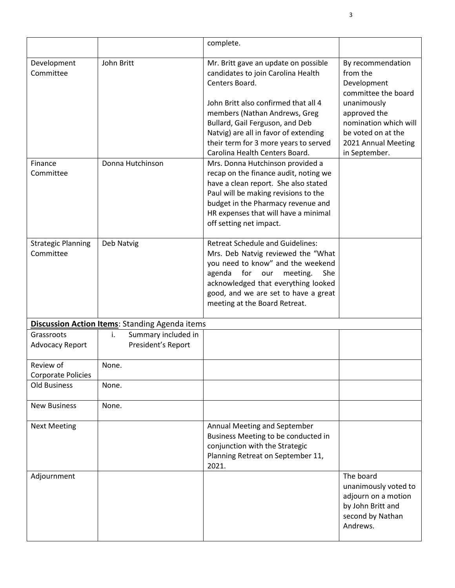|                                        |                                                       | complete.                                                                                                                                                                                                                                                                                                                    |                                                                                                                                                                                           |
|----------------------------------------|-------------------------------------------------------|------------------------------------------------------------------------------------------------------------------------------------------------------------------------------------------------------------------------------------------------------------------------------------------------------------------------------|-------------------------------------------------------------------------------------------------------------------------------------------------------------------------------------------|
| Development<br>Committee               | John Britt                                            | Mr. Britt gave an update on possible<br>candidates to join Carolina Health<br>Centers Board.<br>John Britt also confirmed that all 4<br>members (Nathan Andrews, Greg<br>Bullard, Gail Ferguson, and Deb<br>Natvig) are all in favor of extending<br>their term for 3 more years to served<br>Carolina Health Centers Board. | By recommendation<br>from the<br>Development<br>committee the board<br>unanimously<br>approved the<br>nomination which will<br>be voted on at the<br>2021 Annual Meeting<br>in September. |
| Finance<br>Committee                   | Donna Hutchinson                                      | Mrs. Donna Hutchinson provided a<br>recap on the finance audit, noting we<br>have a clean report. She also stated<br>Paul will be making revisions to the<br>budget in the Pharmacy revenue and<br>HR expenses that will have a minimal<br>off setting net impact.                                                           |                                                                                                                                                                                           |
| <b>Strategic Planning</b><br>Committee | Deb Natvig                                            | <b>Retreat Schedule and Guidelines:</b><br>Mrs. Deb Natvig reviewed the "What<br>you need to know" and the weekend<br>for<br>agenda<br>our<br>meeting.<br>She<br>acknowledged that everything looked<br>good, and we are set to have a great<br>meeting at the Board Retreat.                                                |                                                                                                                                                                                           |
|                                        | <b>Discussion Action Items: Standing Agenda items</b> |                                                                                                                                                                                                                                                                                                                              |                                                                                                                                                                                           |
| Grassroots<br>Advocacy Report          | Summary included in<br>i.<br>President's Report       |                                                                                                                                                                                                                                                                                                                              |                                                                                                                                                                                           |
| Review of<br>Corporate Policies        | None.                                                 |                                                                                                                                                                                                                                                                                                                              |                                                                                                                                                                                           |
| <b>Old Business</b>                    | None.                                                 |                                                                                                                                                                                                                                                                                                                              |                                                                                                                                                                                           |
| <b>New Business</b>                    | None.                                                 |                                                                                                                                                                                                                                                                                                                              |                                                                                                                                                                                           |
| <b>Next Meeting</b>                    |                                                       | Annual Meeting and September<br>Business Meeting to be conducted in<br>conjunction with the Strategic<br>Planning Retreat on September 11,<br>2021.                                                                                                                                                                          |                                                                                                                                                                                           |
| Adjournment                            |                                                       |                                                                                                                                                                                                                                                                                                                              | The board<br>unanimously voted to<br>adjourn on a motion<br>by John Britt and<br>second by Nathan<br>Andrews.                                                                             |